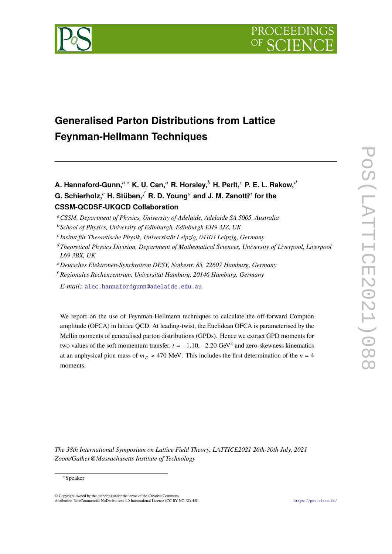



# **Generalised Parton Distributions from Lattice Feynman-Hellmann Techniques**

**A. Hannaford-Gunn,**<sup>a,∗</sup> **K. U. Can,**<sup>a</sup> **R. Horsley,**<sup>b</sup> **H. Perlt,**<sup>c</sup> **P. E. L. Rakow,**<sup>d</sup>  ${\bf G}.$  Schierholz, $^e$  H. Stüben, $^f$  R. D. Young $^a$  and J. M. Zanotti $^a$  for the **CSSM-QCDSF-UKQCD Collaboration**

- 𝑐 *Insitut für Theoretische Physik, Universistät Leipzig, 04103 Leipzig, Germany*
- <sup>𝑑</sup>*Theoretical Physics Division, Department of Mathematical Sciences, University of Liverpool, Liverpool L69 3BX, UK*
- <sup>𝑒</sup>*Deutsches Elektronen-Synchrotron DESY, Notkestr. 85, 22607 Hamburg, Germany*
- <sup>𝑓</sup> *Regionales Rechenzentrum, Universität Hamburg, 20146 Hamburg, Germany*

*E-mail:* [alec.hannafordgunn@adelaide.edu.au](mailto:alec.hannafordgunn@adelaide.edu.au)

We report on the use of Feynman-Hellmann techniques to calculate the off-forward Compton amplitude (OFCA) in lattice QCD. At leading-twist, the Euclidean OFCA is parameterised by the Mellin moments of generalised parton distributions (GPDs). Hence we extract GPD moments for two values of the soft momentum transfer,  $t = -1.10, -2.20 \text{ GeV}^2$  and zero-skewness kinematics at an unphysical pion mass of  $m_{\pi} \approx 470$  MeV. This includes the first determination of the  $n = 4$ moments.

*The 38th International Symposium on Lattice Field Theory, LATTICE2021 26th-30th July, 2021 Zoom/Gather@Massachusetts Institute of Technology*

#### ∗Speaker

© Copyright owned by the author(s) under the terms of the Creative Commons Attribution-NonCommercial-NoDerivatives 4.0 International License (CC BY-NC-ND 4.0). <https://pos.sissa.it/>

<sup>𝑎</sup>*CSSM, Department of Physics, University of Adelaide, Adelaide SA 5005, Australia*

<sup>𝑏</sup>*School of Physics, University of Edinburgh, Edinburgh EH9 3JZ, UK*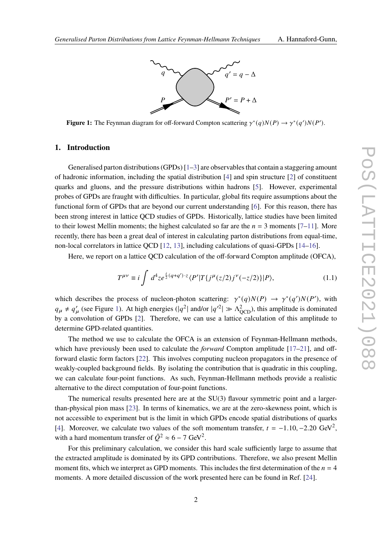

<span id="page-1-0"></span>**Figure 1:** The Feynman diagram for off-forward Compton scattering  $\gamma^*(q)N(P) \to \gamma^*(q')N(P')$ .

# **1. Introduction**

Generalised parton distributions (GPDs)  $[1-3]$  $[1-3]$  are observables that contain a staggering amount of hadronic information, including the spatial distribution [\[4\]](#page-6-2) and spin structure [\[2\]](#page-6-3) of constituent quarks and gluons, and the pressure distributions within hadrons [\[5\]](#page-6-4). However, experimental probes of GPDs are fraught with difficulties. In particular, global fits require assumptions about the functional form of GPDs that are beyond our current understanding [\[6\]](#page-6-5). For this reason, there has been strong interest in lattice QCD studies of GPDs. Historically, lattice studies have been limited to their lowest Mellin moments; the highest calculated so far are the  $n = 3$  moments [\[7](#page-6-6)[–11\]](#page-6-7). More recently, there has been a great deal of interest in calculating parton distributions from equal-time, non-local correlators in lattice QCD [\[12,](#page-6-8) [13\]](#page-6-9), including calculations of quasi-GPDs [\[14–](#page-6-10)[16\]](#page-7-0).

Here, we report on a lattice QCD calculation of the off-forward Compton amplitude (OFCA),

<span id="page-1-1"></span>
$$
T^{\mu\nu} \equiv i \int d^4 z e^{\frac{i}{2}(q+q')\cdot z} \langle P'|T\{j^{\mu}(z/2)j^{\nu}(-z/2)\}|P\rangle, \tag{1.1}
$$

which describes the process of nucleon-photon scattering:  $\gamma^*(q)N(P) \to \gamma^*(q')N(P')$ , with  $q_{\mu} \neq q'_{\mu}$  (see Figure [1\)](#page-1-0). At high energies ( $|q^2|$  and/or  $|q'^2| \gg \Lambda_{\text{QCD}}^2$ ), this amplitude is dominated by a convolution of GPDs [\[2\]](#page-6-3). Therefore, we can use a lattice calculation of this amplitude to determine GPD-related quantities.

The method we use to calculate the OFCA is an extension of Feynman-Hellmann methods, which have previously been used to calculate the *forward* Compton amplitude [\[17](#page-7-1)[–21\]](#page-7-2), and offforward elastic form factors [\[22\]](#page-7-3). This involves computing nucleon propagators in the presence of weakly-coupled background fields. By isolating the contribution that is quadratic in this coupling, we can calculate four-point functions. As such, Feynman-Hellmann methods provide a realistic alternative to the direct computation of four-point functions.

The numerical results presented here are at the  $SU(3)$  flavour symmetric point and a largerthan-physical pion mass [\[23\]](#page-7-4). In terms of kinematics, we are at the zero-skewness point, which is not accessible to experiment but is the limit in which GPDs encode spatial distributions of quarks [\[4\]](#page-6-2). Moreover, we calculate two values of the soft momentum transfer,  $t = -1.10, -2.20 \text{ GeV}^2$ , with a hard momentum transfer of  $\overline{Q}^2 \approx 6 - 7 \text{ GeV}^2$ .

For this preliminary calculation, we consider this hard scale sufficiently large to assume that the extracted amplitude is dominated by its GPD contributions. Therefore, we also present Mellin moment fits, which we interpret as GPD moments. This includes the first determination of the  $n = 4$ moments. A more detailed discussion of the work presented here can be found in Ref. [\[24\]](#page-7-5).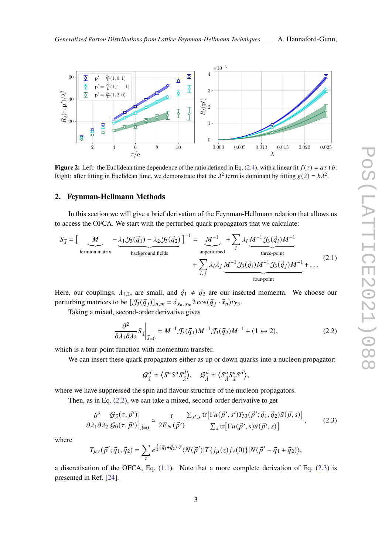<span id="page-2-2"></span>

**Figure 2:** Left: the Euclidean time dependence of the ratio defined in Eq. [\(2.4\)](#page-3-0), with a linear fit  $f(\tau) = a\tau + b$ . Right: after fitting in Euclidean time, we demonstrate that the  $\lambda^2$  term is dominant by fitting  $g(\lambda) = b\lambda^2$ .

#### **2. Feynman-Hellmann Methods**

In this section we will give a brief derivation of the Feynman-Hellmann relation that allows us to access the OFCA. We start with the perturbed quark propagators that we calculate:

$$
S_{\vec{\lambda}} = \left[\underbrace{M}_{\text{fermion matrix}} - \underbrace{\lambda_1 \mathcal{J}_3(\vec{q}_1) - \lambda_2 \mathcal{J}_3(\vec{q}_2)}_{\text{background fields}}\right]^{-1} = \underbrace{M^{-1}}_{\text{unperturbed}} + \sum_{i} \lambda_i \underbrace{M^{-1} \mathcal{J}_3(\vec{q}_i) M^{-1}}_{\text{three-point}}
$$
\n
$$
+ \sum_{i,j} \lambda_i \lambda_j \underbrace{M^{-1} \mathcal{J}_3(\vec{q}_i) M^{-1} \mathcal{J}_3(\vec{q}_j) M^{-1}}_{\text{four-point}} + \dots \tag{2.1}
$$

Here, our couplings,  $\lambda_{1,2}$ , are small, and  $\vec{q}_1 \neq \vec{q}_2$  are our inserted momenta. We choose our perturbing matrices to be  $[\mathcal{J}_3(\vec{q}_j)]_{n,m} = \delta_{x_n,x_m} 2 \cos(\vec{q}_j \cdot \vec{x}_n) i \gamma_3$ .

Taking a mixed, second-order derivative gives

<span id="page-2-0"></span>
$$
\left. \frac{\partial^2}{\partial \lambda_1 \partial \lambda_2} S_{\vec{\lambda}} \right|_{\vec{\lambda}=0} = M^{-1} \mathcal{J}_3(\vec{q}_1) M^{-1} \mathcal{J}_3(\vec{q}_2) M^{-1} + (1 \leftrightarrow 2), \tag{2.2}
$$

which is a four-point function with momentum transfer.

We can insert these quark propagators either as up or down quarks into a nucleon propagator:

$$
\mathcal{G}_{\vec{\lambda}}^d \simeq \langle S^u S^u S_{\vec{\lambda}}^d \rangle, \quad \mathcal{G}_{\vec{\lambda}}^u \simeq \langle S_{\vec{\lambda}}^u S_{\vec{\lambda}}^u S^d \rangle,
$$

where we have suppressed the spin and flavour structure of the nucleon propagators.

<span id="page-2-1"></span>Then, as in Eq. [\(2.2\)](#page-2-0), we can take a mixed, second-order derivative to get

$$
\frac{\partial^2}{\partial \lambda_1 \partial \lambda_2} \frac{\mathcal{G}_{\vec{\lambda}}(\tau, \vec{p}')}{\mathcal{G}_0(\tau, \vec{p}')} \bigg|_{\vec{\lambda}=0} \simeq \frac{\tau}{2E_N(\vec{p}')}\frac{\sum_{s',s} \text{tr}\big[\Gamma u(\vec{p}', s')T_{33}(\vec{p}'; \vec{q}_1, \vec{q}_2)\bar{u}(\vec{p}, s)\big]}{\sum_s \text{tr}\big[\Gamma u(\vec{p}', s)\bar{u}(\vec{p}', s)\big]},\tag{2.3}
$$

where

$$
T_{\mu\nu}(\vec{p}';\vec{q}_1,\vec{q}_2) = \sum_z e^{\frac{i}{2}(\vec{q}_1+\vec{q}_2)\cdot\vec{z}} \langle N(\vec{p}')|T\{j_\mu(z)j_\nu(0)\}|N(\vec{p}'-\vec{q}_1+\vec{q}_2)\rangle,
$$

a discretisation of the OFCA, Eq.  $(1.1)$ . Note that a more complete derivation of Eq.  $(2.3)$  is presented in Ref. [\[24\]](#page-7-5).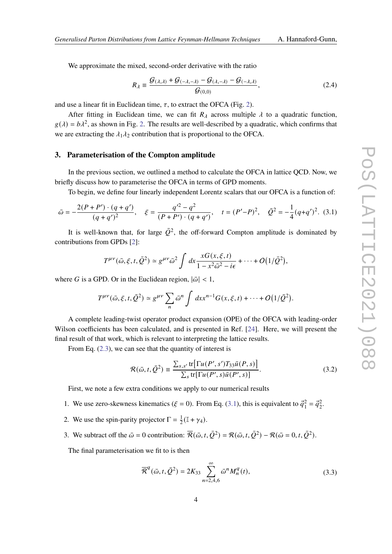We approximate the mixed, second-order derivative with the ratio

<span id="page-3-0"></span>
$$
R_{\lambda} \equiv \frac{\mathcal{G}(\lambda,\lambda) + \mathcal{G}(-\lambda,-\lambda) - \mathcal{G}(\lambda,-\lambda) - \mathcal{G}(-\lambda,\lambda)}{\mathcal{G}(0,0)},
$$
\n(2.4)

and use a linear fit in Euclidean time,  $\tau$ , to extract the OFCA (Fig. [2\)](#page-2-2).

After fitting in Euclidean time, we can fit  $R_{\lambda}$  across multiple  $\lambda$  to a quadratic function,  $g(\lambda) = b\lambda^2$ , as shown in Fig. [2.](#page-2-2) The results are well-described by a quadratic, which confirms that we are extracting the  $\lambda_1 \lambda_2$  contribution that is proportional to the OFCA.

## **3. Parameterisation of the Compton amplitude**

In the previous section, we outlined a method to calculate the OFCA in lattice QCD. Now, we briefly discuss how to parameterise the OFCA in terms of GPD moments.

To begin, we define four linearly independent Lorentz scalars that our OFCA is a function of:

<span id="page-3-1"></span>
$$
\bar{\omega} = -\frac{2(P + P') \cdot (q + q')}{(q + q')^2}, \quad \xi = \frac{q'^2 - q^2}{(P + P') \cdot (q + q')}, \quad t = (P' - P)^2, \quad \bar{Q}^2 = -\frac{1}{4}(q + q')^2. \tag{3.1}
$$

It is well-known that, for large  $\overline{O}^2$ , the off-forward Compton amplitude is dominated by contributions from GPDs [\[2\]](#page-6-3):

$$
T^{\mu\nu}(\bar{\omega},\xi,t,\bar{Q}^2) \simeq g^{\mu\nu}\bar{\omega}^2 \int dx \frac{xG(x,\xi,t)}{1-x^2\bar{\omega}^2-i\epsilon} + \cdots + O(1/\bar{Q}^2),
$$

where G is a GPD. Or in the Euclidean region,  $|\bar{\omega}| < 1$ ,

$$
T^{\mu\nu}(\bar{\omega},\xi,t,\bar{Q}^2) \simeq g^{\mu\nu} \sum_n \bar{\omega}^n \int dx x^{n-1} G(x,\xi,t) + \cdots + O(1/\bar{Q}^2).
$$

A complete leading-twist operator product expansion (OPE) of the OFCA with leading-order Wilson coefficients has been calculated, and is presented in Ref. [\[24\]](#page-7-5). Here, we will present the final result of that work, which is relevant to interpreting the lattice results.

From Eq.  $(2.3)$ , we can see that the quantity of interest is

$$
\mathcal{R}(\bar{\omega}, t, \bar{Q}^2) \equiv \frac{\sum_{s,s'} \text{tr} \big[ \Gamma u(P', s') T_{33} \bar{u}(P, s) \big]}{\sum_s \text{tr} \big[ \Gamma u(P', s) \bar{u}(P', s) \big]}.
$$
(3.2)

First, we note a few extra conditions we apply to our numerical results

- 1. We use zero-skewness kinematics ( $\xi = 0$ ). From Eq. [\(3.1\)](#page-3-1), this is equivalent to  $\vec{q}_1^2 = \vec{q}_2^2$ .
- 2. We use the spin-parity projector  $\Gamma = \frac{1}{2}(\mathbb{I} + \gamma_4)$ .
- 3. We subtract off the  $\bar{\omega} = 0$  contribution:  $\bar{\mathcal{R}}(\bar{\omega}, t, \bar{\mathcal{Q}}^2) = \mathcal{R}(\bar{\omega}, t, \bar{\mathcal{Q}}^2) \mathcal{R}(\bar{\omega} = 0, t, \bar{\mathcal{Q}}^2)$ .

<span id="page-3-2"></span>The final parameterisation we fit to is then

$$
\overline{\mathcal{R}}^{q}(\bar{\omega}, t, \bar{\mathcal{Q}}^{2}) = 2K_{33} \sum_{n=2,4,6}^{\infty} \bar{\omega}^{n} M_{n}^{q}(t),
$$
\n(3.3)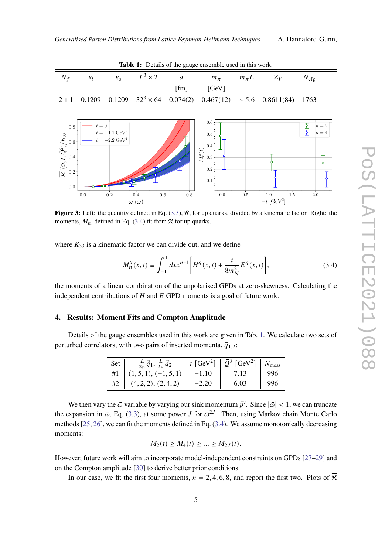**Table 1:** Details of the gauge ensemble used in this work.

<span id="page-4-2"></span><span id="page-4-1"></span>

| <b>Table 1:</b> Details of the gauge ensemble used in this work.                                               |                  |                                                               |                                      |                  |                                                                                     |            |                                         |                                                                        |  |  |
|----------------------------------------------------------------------------------------------------------------|------------------|---------------------------------------------------------------|--------------------------------------|------------------|-------------------------------------------------------------------------------------|------------|-----------------------------------------|------------------------------------------------------------------------|--|--|
| $N_f$                                                                                                          | $\kappa_l$       | $K_S$                                                         | $L^3 \times T$                       | $\boldsymbol{a}$ | $m_\pi$                                                                             | $m_{\pi}L$ | $Z_V$                                   | $N_{\text{cfg}}$                                                       |  |  |
|                                                                                                                |                  |                                                               |                                      | [fm]             | [GeV]                                                                               |            |                                         |                                                                        |  |  |
| $2 + 1$                                                                                                        | 0.1209           | 0.1209                                                        | $32^3 \times 64$ 0.074(2)            |                  | 0.467(12)                                                                           | $\sim 5.6$ | 0.8611(84)                              | 1763                                                                   |  |  |
| $0.8\,$<br>$\overline{\mathcal{R}}^{u}(\bar{\omega}, t, \bar{Q}^{2})/K_{33}$<br>0.2<br>0.2<br>0.0 <sub>1</sub> | $t=0$<br>$0.0\,$ | $t=-1.1\;\mathrm{GeV}^2$<br>$t=-2.2\;\rm{GeV}^2$<br>$\rm 0.2$ | 0.6<br>0.4<br>$\omega(\bar{\omega})$ | 0.8              | $0.6\,$<br>$0.5 -$<br>0.4<br>$M_n^u(t)$<br>$\rm 0.3$<br>$\rm 0.2$<br>0.1<br>$0.0\,$ | 0.5        | $1.5\,$<br>1.0<br>$-t~[\mathrm{GeV}^2]$ | $\frac{\overline{5}}{\overline{2}}$<br>$n=2$<br>$n=4$<br>LT<br>$2.0\,$ |  |  |

**Figure 3:** Left: the quantity defined in Eq. [\(3.3\)](#page-3-2),  $\overline{R}$ , for up quarks, divided by a kinematic factor. Right: the moments,  $M_n$ , defined in Eq. [\(3.4\)](#page-4-0) fit from  $\overline{R}$  for up quarks.

<span id="page-4-0"></span>where  $K_{33}$  is a kinematic factor we can divide out, and we define

$$
M_n^q(x,t) \equiv \int_{-1}^1 dx x^{n-1} \bigg[ H^q(x,t) + \frac{t}{8m_N^2} E^q(x,t) \bigg],\tag{3.4}
$$

the moments of a linear combination of the unpolarised GPDs at zero-skewness. Calculating the independent contributions of  $H$  and  $E$  GPD moments is a goal of future work.

#### **4. Results: Moment Fits and Compton Amplitude**

Details of the gauge ensembles used in this work are given in Tab. [1.](#page-4-1) We calculate two sets of perturbed correlators, with two pairs of inserted momenta,  $\vec{q}_{1,2}$ :

| Set | $\frac{2}{2\pi}q_1$ ,<br>$\frac{1}{2\pi}q_2$ | t [GeV <sup>2</sup> ] | $\overline{O}^2$ [GeV <sup>2</sup> ] | meas |
|-----|----------------------------------------------|-----------------------|--------------------------------------|------|
| #1  | $(1, 5, 1), (-1, 5, 1)$                      | $-1.10$               | 7.13                                 | 996  |
| #2  | (4, 2, 2), (2, 4, 2)                         | $-2.20$               | 6.03                                 |      |

We then vary the  $\bar{\omega}$  variable by varying our sink momentum  $\vec{p}'$ . Since  $|\bar{\omega}| < 1$ , we can truncate the expansion in  $\bar{\omega}$ , Eq. [\(3.3\)](#page-3-2), at some power *J* for  $\bar{\omega}^{2J}$ . Then, using Markov chain Monte Carlo methods [\[25,](#page-7-6) [26\]](#page-7-7), we can fit the moments defined in Eq. [\(3.4\)](#page-4-0). We assume monotonically decreasing moments:

$$
M_2(t) \ge M_4(t) \ge ... \ge M_{2J}(t).
$$

However, future work will aim to incorporate model-independent constraints on GPDs [\[27–](#page-7-8)[29\]](#page-8-0) and on the Compton amplitude [\[30\]](#page-8-1) to derive better prior conditions.

In our case, we fit the first four moments,  $n = 2, 4, 6, 8$ , and report the first two. Plots of  $\overline{R}$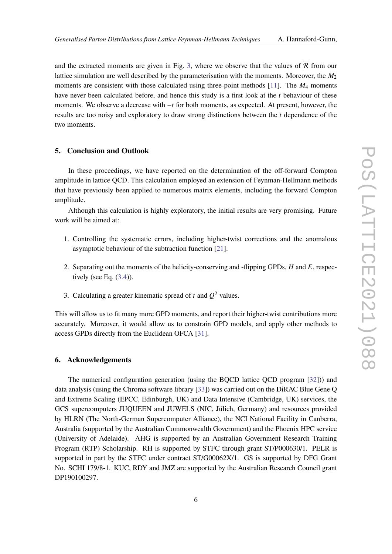and the extracted moments are given in Fig. [3,](#page-4-2) where we observe that the values of  $\overline{R}$  from our lattice simulation are well described by the parameterisation with the moments. Moreover, the  $M_2$ moments are consistent with those calculated using three-point methods [\[11\]](#page-6-7). The  $M_4$  moments have never been calculated before, and hence this study is a first look at the  $t$  behaviour of these moments. We observe a decrease with  $-t$  for both moments, as expected. At present, however, the results are too noisy and exploratory to draw strong distinctions between the  $t$  dependence of the two moments.

# **5. Conclusion and Outlook**

In these proceedings, we have reported on the determination of the off-forward Compton amplitude in lattice QCD. This calculation employed an extension of Feynman-Hellmann methods that have previously been applied to numerous matrix elements, including the forward Compton amplitude.

Although this calculation is highly exploratory, the initial results are very promising. Future work will be aimed at:

- 1. Controlling the systematic errors, including higher-twist corrections and the anomalous asymptotic behaviour of the subtraction function [\[21\]](#page-7-2).
- 2. Separating out the moments of the helicity-conserving and -flipping GPDs,  $H$  and  $E$ , respectively (see Eq.  $(3.4)$ ).
- 3. Calculating a greater kinematic spread of t and  $\overline{Q}^2$  values.

This will allow us to fit many more GPD moments, and report their higher-twist contributions more accurately. Moreover, it would allow us to constrain GPD models, and apply other methods to access GPDs directly from the Euclidean OFCA [\[31\]](#page-8-2).

#### **6. Acknowledgements**

The numerical configuration generation (using the BQCD lattice QCD program [\[32\]](#page-8-3))) and data analysis (using the Chroma software library [\[33\]](#page-8-4)) was carried out on the DiRAC Blue Gene Q and Extreme Scaling (EPCC, Edinburgh, UK) and Data Intensive (Cambridge, UK) services, the GCS supercomputers JUQUEEN and JUWELS (NIC, Jülich, Germany) and resources provided by HLRN (The North-German Supercomputer Alliance), the NCI National Facility in Canberra, Australia (supported by the Australian Commonwealth Government) and the Phoenix HPC service (University of Adelaide). AHG is supported by an Australian Government Research Training Program (RTP) Scholarship. RH is supported by STFC through grant ST/P000630/1. PELR is supported in part by the STFC under contract ST/G00062X/1. GS is supported by DFG Grant No. SCHI 179/8-1. KUC, RDY and JMZ are supported by the Australian Research Council grant DP190100297.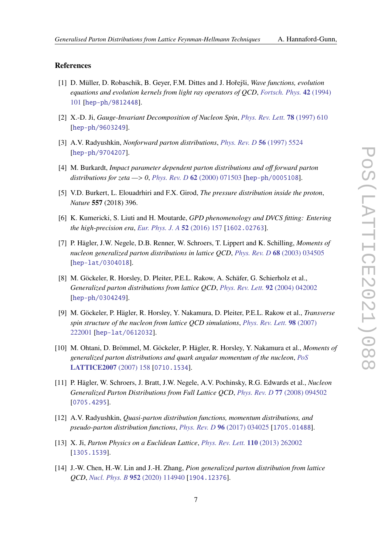## **References**

- <span id="page-6-0"></span>[1] D. Müller, D. Robaschik, B. Geyer, F.M. Dittes and J. Hořejši, *Wave functions, evolution equations and evolution kernels from light ray operators of QCD*, *[Fortsch. Phys.](https://doi.org/10.1002/prop.2190420202)* **42** (1994) [101](https://doi.org/10.1002/prop.2190420202) [[hep-ph/9812448](https://arxiv.org/abs/hep-ph/9812448)].
- <span id="page-6-3"></span>[2] X.-D. Ji, *Gauge-Invariant Decomposition of Nucleon Spin*, *[Phys. Rev. Lett.](https://doi.org/10.1103/PhysRevLett.78.610)* **78** (1997) 610 [[hep-ph/9603249](https://arxiv.org/abs/hep-ph/9603249)].
- <span id="page-6-1"></span>[3] A.V. Radyushkin, *Nonforward parton distributions*, *[Phys. Rev. D](https://doi.org/10.1103/PhysRevD.56.5524)* **56** (1997) 5524 [[hep-ph/9704207](https://arxiv.org/abs/hep-ph/9704207)].
- <span id="page-6-2"></span>[4] M. Burkardt, *Impact parameter dependent parton distributions and off forward parton distributions for zeta —*> *0*, *[Phys. Rev. D](https://doi.org/10.1103/PhysRevD.62.071503)* **62** (2000) 071503 [[hep-ph/0005108](https://arxiv.org/abs/hep-ph/0005108)].
- <span id="page-6-4"></span>[5] V.D. Burkert, L. Elouadrhiri and F.X. Girod, *The pressure distribution inside the proton*, *Nature* **557** (2018) 396.
- <span id="page-6-5"></span>[6] K. Kumericki, S. Liuti and H. Moutarde, *GPD phenomenology and DVCS fitting: Entering the high-precision era*, *[Eur. Phys. J. A](https://doi.org/10.1140/epja/i2016-16157-3)* **52** (2016) 157 [[1602.02763](https://arxiv.org/abs/1602.02763)].
- <span id="page-6-6"></span>[7] P. Hägler, J.W. Negele, D.B. Renner, W. Schroers, T. Lippert and K. Schilling, *Moments of nucleon generalized parton distributions in lattice QCD*, *[Phys. Rev. D](https://doi.org/10.1103/PhysRevD.68.034505)* **68** (2003) 034505 [[hep-lat/0304018](https://arxiv.org/abs/hep-lat/0304018)].
- [8] M. Göckeler, R. Horsley, D. Pleiter, P.E.L. Rakow, A. Schäfer, G. Schierholz et al., *Generalized parton distributions from lattice QCD*, *[Phys. Rev. Lett.](https://doi.org/10.1103/PhysRevLett.92.042002)* **92** (2004) 042002 [[hep-ph/0304249](https://arxiv.org/abs/hep-ph/0304249)].
- [9] M. Göckeler, P. Hägler, R. Horsley, Y. Nakamura, D. Pleiter, P.E.L. Rakow et al., *Transverse spin structure of the nucleon from lattice QCD simulations*, *[Phys. Rev. Lett.](https://doi.org/10.1103/PhysRevLett.98.222001)* **98** (2007) [222001](https://doi.org/10.1103/PhysRevLett.98.222001) [[hep-lat/0612032](https://arxiv.org/abs/hep-lat/0612032)].
- [10] M. Ohtani, D. Brömmel, M. Göckeler, P. Hägler, R. Horsley, Y. Nakamura et al., *Moments of generalized parton distributions and quark angular momentum of the nucleon*, *[PoS](https://doi.org/10.22323/1.042.0158)* **[LATTICE2007](https://doi.org/10.22323/1.042.0158)** (2007) 158 [[0710.1534](https://arxiv.org/abs/0710.1534)].
- <span id="page-6-7"></span>[11] P. Hägler, W. Schroers, J. Bratt, J.W. Negele, A.V. Pochinsky, R.G. Edwards et al., *Nucleon Generalized Parton Distributions from Full Lattice QCD*, *[Phys. Rev. D](https://doi.org/10.1103/PhysRevD.77.094502)* **77** (2008) 094502 [[0705.4295](https://arxiv.org/abs/0705.4295)].
- <span id="page-6-8"></span>[12] A.V. Radyushkin, *Quasi-parton distribution functions, momentum distributions, and pseudo-parton distribution functions*, *[Phys. Rev. D](https://doi.org/10.1103/PhysRevD.96.034025)* **96** (2017) 034025 [[1705.01488](https://arxiv.org/abs/1705.01488)].
- <span id="page-6-9"></span>[13] X. Ji, *Parton Physics on a Euclidean Lattice*, *[Phys. Rev. Lett.](https://doi.org/10.1103/PhysRevLett.110.262002)* **110** (2013) 262002 [[1305.1539](https://arxiv.org/abs/1305.1539)].
- <span id="page-6-10"></span>[14] J.-W. Chen, H.-W. Lin and J.-H. Zhang, *Pion generalized parton distribution from lattice QCD*, *[Nucl. Phys. B](https://doi.org/10.1016/j.nuclphysb.2020.114940)* **952** (2020) 114940 [[1904.12376](https://arxiv.org/abs/1904.12376)].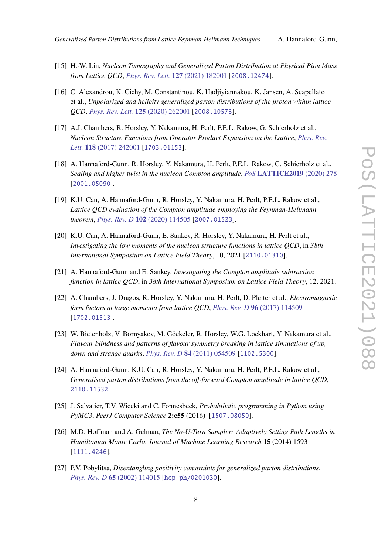- [15] H.-W. Lin, *Nucleon Tomography and Generalized Parton Distribution at Physical Pion Mass from Lattice QCD*, *[Phys. Rev. Lett.](https://doi.org/10.1103/PhysRevLett.127.182001)* **127** (2021) 182001 [[2008.12474](https://arxiv.org/abs/2008.12474)].
- <span id="page-7-0"></span>[16] C. Alexandrou, K. Cichy, M. Constantinou, K. Hadjiyiannakou, K. Jansen, A. Scapellato et al., *Unpolarized and helicity generalized parton distributions of the proton within lattice QCD*, *[Phys. Rev. Lett.](https://doi.org/10.1103/PhysRevLett.125.262001)* **125** (2020) 262001 [[2008.10573](https://arxiv.org/abs/2008.10573)].
- <span id="page-7-1"></span>[17] A.J. Chambers, R. Horsley, Y. Nakamura, H. Perlt, P.E.L. Rakow, G. Schierholz et al., *Nucleon Structure Functions from Operator Product Expansion on the Lattice*, *[Phys. Rev.](https://doi.org/10.1103/PhysRevLett.118.242001) Lett.* **118** [\(2017\) 242001](https://doi.org/10.1103/PhysRevLett.118.242001) [[1703.01153](https://arxiv.org/abs/1703.01153)].
- [18] A. Hannaford-Gunn, R. Horsley, Y. Nakamura, H. Perlt, P.E.L. Rakow, G. Schierholz et al., *Scaling and higher twist in the nucleon Compton amplitude*, *PoS* **[LATTICE2019](https://doi.org/10.22323/1.363.0278)** (2020) 278 [[2001.05090](https://arxiv.org/abs/2001.05090)].
- [19] K.U. Can, A. Hannaford-Gunn, R. Horsley, Y. Nakamura, H. Perlt, P.E.L. Rakow et al., *Lattice QCD evaluation of the Compton amplitude employing the Feynman-Hellmann theorem*, *[Phys. Rev. D](https://doi.org/10.1103/PhysRevD.102.114505)* **102** (2020) 114505 [[2007.01523](https://arxiv.org/abs/2007.01523)].
- [20] K.U. Can, A. Hannaford-Gunn, E. Sankey, R. Horsley, Y. Nakamura, H. Perlt et al., *Investigating the low moments of the nucleon structure functions in lattice QCD*, in *38th International Symposium on Lattice Field Theory*, 10, 2021 [[2110.01310](https://arxiv.org/abs/2110.01310)].
- <span id="page-7-2"></span>[21] A. Hannaford-Gunn and E. Sankey, *Investigating the Compton amplitude subtraction function in lattice QCD*, in *38th International Symposium on Lattice Field Theory*, 12, 2021.
- <span id="page-7-3"></span>[22] A. Chambers, J. Dragos, R. Horsley, Y. Nakamura, H. Perlt, D. Pleiter et al., *Electromagnetic form factors at large momenta from lattice QCD*, *[Phys. Rev. D](https://doi.org/10.1103/PhysRevD.96.114509)* **96** (2017) 114509 [[1702.01513](https://arxiv.org/abs/1702.01513)].
- <span id="page-7-4"></span>[23] W. Bietenholz, V. Bornyakov, M. Göckeler, R. Horsley, W.G. Lockhart, Y. Nakamura et al., *Flavour blindness and patterns of flavour symmetry breaking in lattice simulations of up, down and strange quarks*, *[Phys. Rev. D](https://doi.org/10.1103/PhysRevD.84.054509)* **84** (2011) 054509 [[1102.5300](https://arxiv.org/abs/1102.5300)].
- <span id="page-7-5"></span>[24] A. Hannaford-Gunn, K.U. Can, R. Horsley, Y. Nakamura, H. Perlt, P.E.L. Rakow et al., *Generalised parton distributions from the off-forward Compton amplitude in lattice QCD*, [2110.11532](https://arxiv.org/abs/2110.11532).
- <span id="page-7-6"></span>[25] J. Salvatier, T.V. Wiecki and C. Fonnesbeck, *Probabilistic programming in Python using PyMC3*, *PeerJ Computer Science* **2:e55** (2016) [[1507.08050](https://arxiv.org/abs/1507.08050)].
- <span id="page-7-7"></span>[26] M.D. Hoffman and A. Gelman, *The No-U-Turn Sampler: Adaptively Setting Path Lengths in Hamiltonian Monte Carlo*, *Journal of Machine Learning Research* **15** (2014) 1593 [[1111.4246](https://arxiv.org/abs/1111.4246)].
- <span id="page-7-8"></span>[27] P.V. Pobylitsa, *Disentangling positivity constraints for generalized parton distributions*, *[Phys. Rev. D](https://doi.org/10.1103/PhysRevD.65.114015)* **65** (2002) 114015 [[hep-ph/0201030](https://arxiv.org/abs/hep-ph/0201030)].